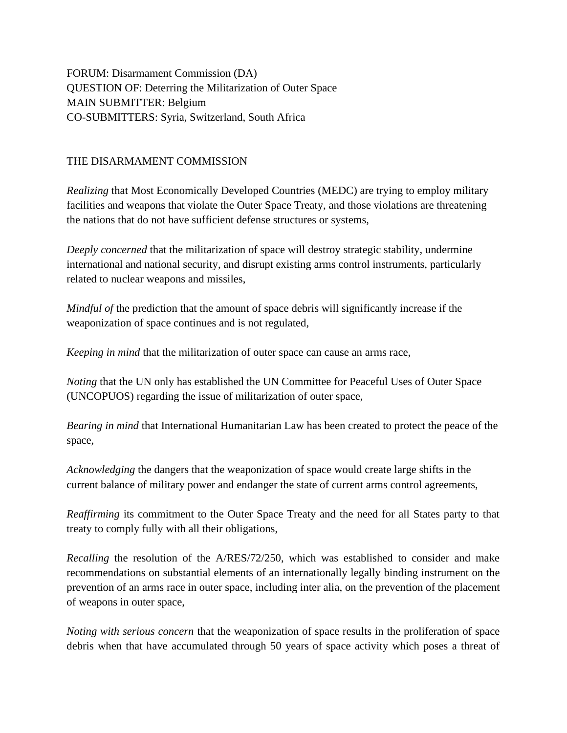FORUM: Disarmament Commission (DA) QUESTION OF: Deterring the Militarization of Outer Space MAIN SUBMITTER: Belgium CO-SUBMITTERS: Syria, Switzerland, South Africa

## THE DISARMAMENT COMMISSION

*Realizing* that Most Economically Developed Countries (MEDC) are trying to employ military facilities and weapons that violate the Outer Space Treaty, and those violations are threatening the nations that do not have sufficient defense structures or systems,

*Deeply concerned* that the militarization of space will destroy strategic stability, undermine international and national security, and disrupt existing arms control instruments, particularly related to nuclear weapons and missiles,

*Mindful of* the prediction that the amount of space debris will significantly increase if the weaponization of space continues and is not regulated,

*Keeping in mind* that the militarization of outer space can cause an arms race,

*Noting* that the UN only has established the UN Committee for Peaceful Uses of Outer Space (UNCOPUOS) regarding the issue of militarization of outer space,

*Bearing in mind* that International Humanitarian Law has been created to protect the peace of the space,

*Acknowledging* the dangers that the weaponization of space would create large shifts in the current balance of military power and endanger the state of current arms control agreements,

*Reaffirming* its commitment to the Outer Space Treaty and the need for all States party to that treaty to comply fully with all their obligations,

*Recalling* the resolution of the A/RES/72/250, which was established to consider and make recommendations on substantial elements of an internationally legally binding instrument on the prevention of an arms race in outer space, including inter alia, on the prevention of the placement of weapons in outer space,

*Noting with serious concern* that the weaponization of space results in the proliferation of space debris when that have accumulated through 50 years of space activity which poses a threat of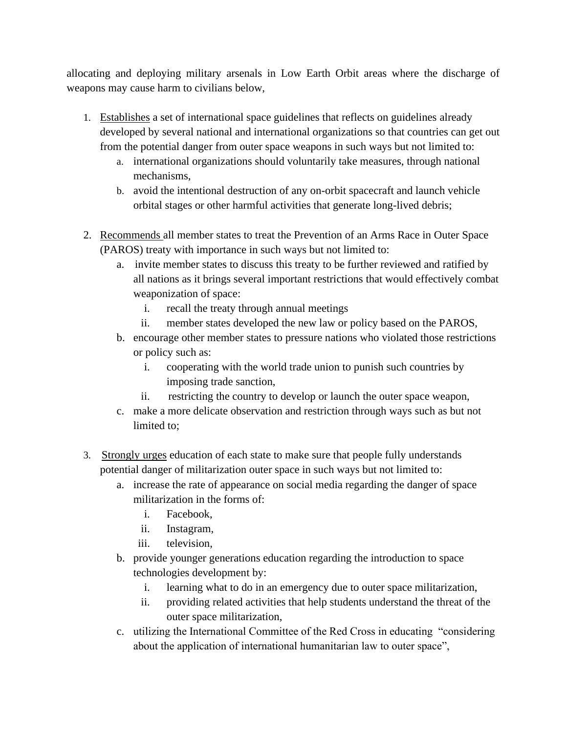allocating and deploying military arsenals in Low Earth Orbit areas where the discharge of weapons may cause harm to civilians below,

- 1. Establishes a set of international space guidelines that reflects on guidelines already developed by several national and international organizations so that countries can get out from the potential danger from outer space weapons in such ways but not limited to:
	- a. international organizations should voluntarily take measures, through national mechanisms,
	- b. avoid the intentional destruction of any on-orbit spacecraft and launch vehicle orbital stages or other harmful activities that generate long-lived debris;
- 2. Recommends all member states to treat the Prevention of an Arms Race in Outer Space (PAROS) treaty with importance in such ways but not limited to:
	- a. invite member states to discuss this treaty to be further reviewed and ratified by all nations as it brings several important restrictions that would effectively combat weaponization of space:
		- i. recall the treaty through annual meetings
		- ii. member states developed the new law or policy based on the PAROS,
	- b. encourage other member states to pressure nations who violated those restrictions or policy such as:
		- i. cooperating with the world trade union to punish such countries by imposing trade sanction,
		- ii. restricting the country to develop or launch the outer space weapon,
	- c. make a more delicate observation and restriction through ways such as but not limited to;
- 3. Strongly urges education of each state to make sure that people fully understands potential danger of militarization outer space in such ways but not limited to:
	- a. increase the rate of appearance on social media regarding the danger of space militarization in the forms of:
		- i. Facebook,
		- ii. Instagram,
		- iii. television,
	- b. provide younger generations education regarding the introduction to space technologies development by:
		- i. learning what to do in an emergency due to outer space militarization,
		- ii. providing related activities that help students understand the threat of the outer space militarization,
	- c. utilizing the International Committee of the Red Cross in educating "considering about the application of international humanitarian law to outer space",